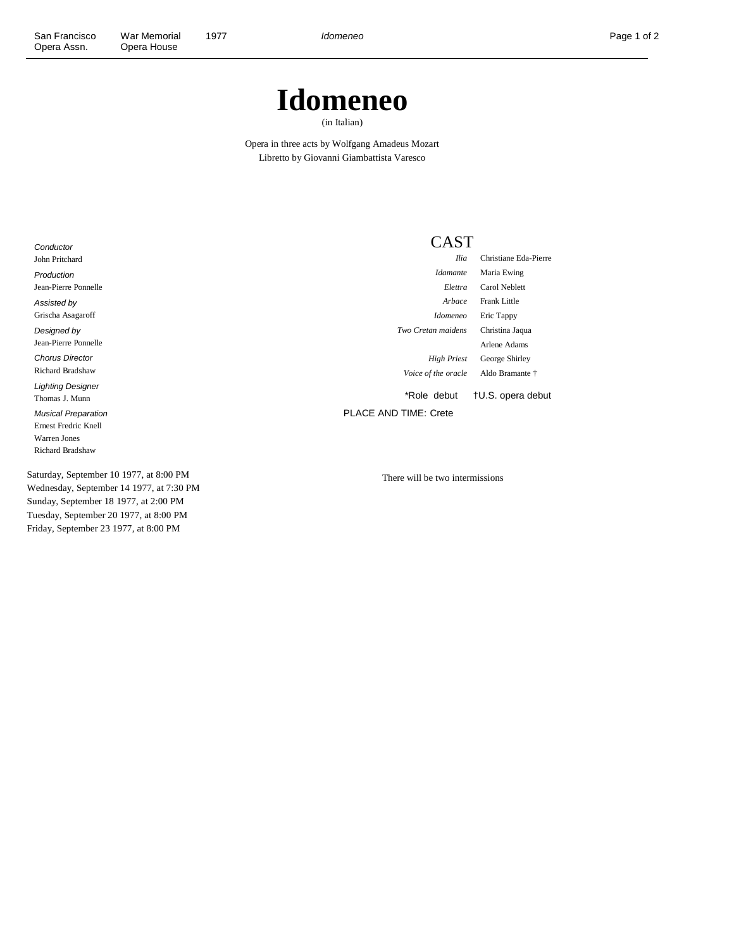## **Idomeneo**

(in Italian)

Opera in three acts by Wolfgang Amadeus Mozart Libretto by Giovanni Giambattista Varesco

**Conductor** John Pritchard Production Jean-Pierre Ponnelle Assisted by Grischa Asagaroff Designed by Jean-Pierre Ponnelle Chorus Director Richard Bradshaw Lighting Designer Thomas J. Munn Musical Preparation Ernest Fredric Knell Warren Jones Richard Bradshaw

Saturday, September 10 1977, at 8:00 PM Wednesday, September 14 1977, at 7:30 PM Sunday, September 18 1977, at 2:00 PM Tuesday, September 20 1977, at 8:00 PM Friday, September 23 1977, at 8:00 PM

## CAST

*Ilia* Christiane Eda-Pierre *Idamante* Maria Ewing *Elettra* Carol Neblett *Arbace* Frank Little *Idomeneo* Eric Tappy *Two Cretan maidens* Christina Jaqua Arlene Adams *High Priest* George Shirley *Voice of the oracle* Aldo Bramante †

\*Role debut †U.S. opera debut

PLACE AND TIME: Crete

There will be two intermissions